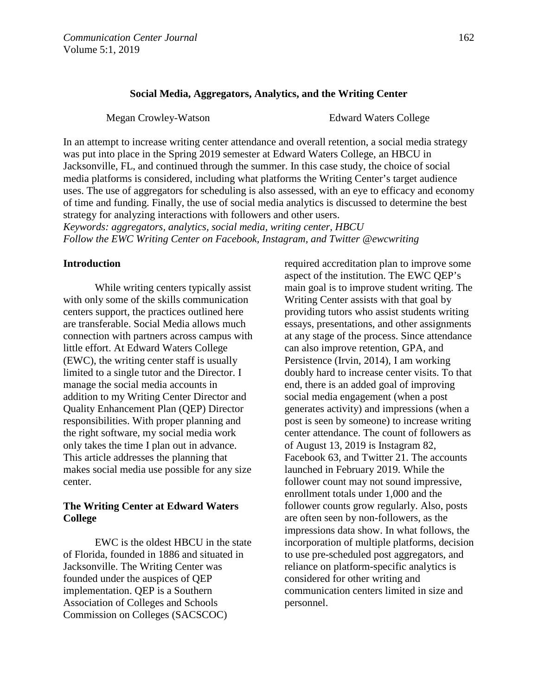### **Social Media, Aggregators, Analytics, and the Writing Center**

Megan Crowley-Watson Edward Waters College

In an attempt to increase writing center attendance and overall retention, a social media strategy was put into place in the Spring 2019 semester at Edward Waters College, an HBCU in Jacksonville, FL, and continued through the summer. In this case study, the choice of social media platforms is considered, including what platforms the Writing Center's target audience uses. The use of aggregators for scheduling is also assessed, with an eye to efficacy and economy of time and funding. Finally, the use of social media analytics is discussed to determine the best strategy for analyzing interactions with followers and other users.

*Keywords: aggregators, analytics, social media, writing center, HBCU Follow the EWC Writing Center on Facebook, Instagram, and Twitter @ewcwriting*

#### **Introduction**

While writing centers typically assist with only some of the skills communication centers support, the practices outlined here are transferable. Social Media allows much connection with partners across campus with little effort. At Edward Waters College (EWC), the writing center staff is usually limited to a single tutor and the Director. I manage the social media accounts in addition to my Writing Center Director and Quality Enhancement Plan (QEP) Director responsibilities. With proper planning and the right software, my social media work only takes the time I plan out in advance. This article addresses the planning that makes social media use possible for any size center.

# **The Writing Center at Edward Waters College**

EWC is the oldest HBCU in the state of Florida, founded in 1886 and situated in Jacksonville. The Writing Center was founded under the auspices of QEP implementation. QEP is a Southern Association of Colleges and Schools Commission on Colleges (SACSCOC)

required accreditation plan to improve some aspect of the institution. The EWC QEP's main goal is to improve student writing. The Writing Center assists with that goal by providing tutors who assist students writing essays, presentations, and other assignments at any stage of the process. Since attendance can also improve retention, GPA, and Persistence (Irvin, 2014), I am working doubly hard to increase center visits. To that end, there is an added goal of improving social media engagement (when a post generates activity) and impressions (when a post is seen by someone) to increase writing center attendance. The count of followers as of August 13, 2019 is Instagram 82, Facebook 63, and Twitter 21. The accounts launched in February 2019. While the follower count may not sound impressive, enrollment totals under 1,000 and the follower counts grow regularly. Also, posts are often seen by non-followers, as the impressions data show. In what follows, the incorporation of multiple platforms, decision to use pre-scheduled post aggregators, and reliance on platform-specific analytics is considered for other writing and communication centers limited in size and personnel.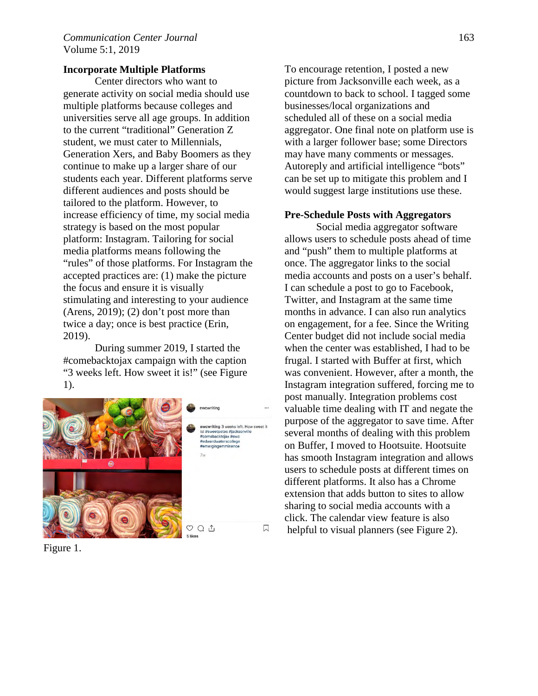## **Incorporate Multiple Platforms**

Center directors who want to generate activity on social media should use multiple platforms because colleges and universities serve all age groups. In addition to the current "traditional" Generation Z student, we must cater to Millennials, Generation Xers, and Baby Boomers as they continue to make up a larger share of our students each year. Different platforms serve different audiences and posts should be tailored to the platform. However, to increase efficiency of time, my social media strategy is based on the most popular platform: Instagram. Tailoring for social media platforms means following the "rules" of those platforms. For Instagram the accepted practices are: (1) make the picture the focus and ensure it is visually stimulating and interesting to your audience (Arens, 2019); (2) don't post more than twice a day; once is best practice (Erin, 2019).

During summer 2019, I started the #comebacktojax campaign with the caption "3 weeks left. How sweet it is!" (see Figure 1).



Figure 1.

To encourage retention, I posted a new picture from Jacksonville each week, as a countdown to back to school. I tagged some businesses/local organizations and scheduled all of these on a social media aggregator. One final note on platform use is with a larger follower base; some Directors may have many comments or messages. Autoreply and artificial intelligence "bots" can be set up to mitigate this problem and I would suggest large institutions use these.

### **Pre-Schedule Posts with Aggregators**

Social media aggregator software allows users to schedule posts ahead of time and "push" them to multiple platforms at once. The aggregator links to the social media accounts and posts on a user's behalf. I can schedule a post to go to Facebook, Twitter, and Instagram at the same time months in advance. I can also run analytics on engagement, for a fee. Since the Writing Center budget did not include social media when the center was established, I had to be frugal. I started with Buffer at first, which was convenient. However, after a month, the Instagram integration suffered, forcing me to post manually. Integration problems cost valuable time dealing with IT and negate the purpose of the aggregator to save time. After several months of dealing with this problem on Buffer, I moved to Hootsuite. Hootsuite has smooth Instagram integration and allows users to schedule posts at different times on different platforms. It also has a Chrome extension that adds button to sites to allow sharing to social media accounts with a click. The calendar view feature is also helpful to visual planners (see Figure 2).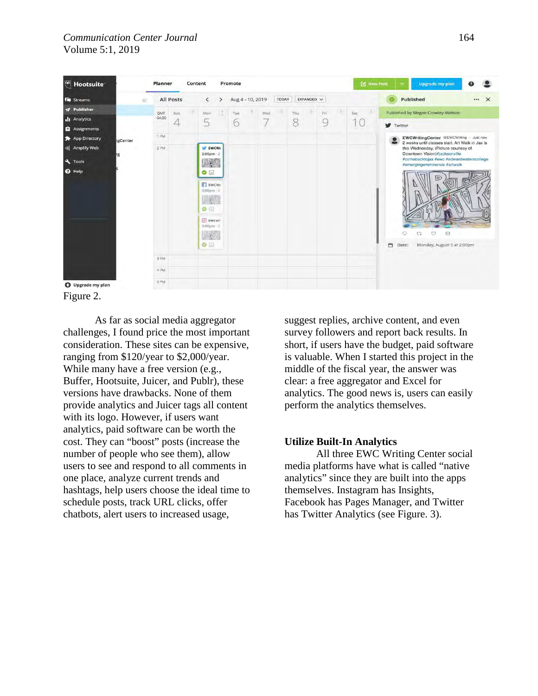

Figure 2.

As far as social media aggregator challenges, I found price the most important consideration. These sites can be expensive, ranging from \$120/year to \$2,000/year. While many have a free version (e.g., Buffer, Hootsuite, Juicer, and Publr), these versions have drawbacks. None of them provide analytics and Juicer tags all content with its logo. However, if users want analytics, paid software can be worth the cost. They can "boost" posts (increase the number of people who see them), allow users to see and respond to all comments in one place, analyze current trends and hashtags, help users choose the ideal time to schedule posts, track URL clicks, offer chatbots, alert users to increased usage,

suggest replies, archive content, and even survey followers and report back results. In short, if users have the budget, paid software is valuable. When I started this project in the middle of the fiscal year, the answer was clear: a free aggregator and Excel for analytics. The good news is, users can easily perform the analytics themselves.

# **Utilize Built-In Analytics**

All three EWC Writing Center social media platforms have what is called "native analytics" since they are built into the apps themselves. Instagram has Insights, Facebook has Pages Manager, and Twitter has Twitter Analytics (see Figure. 3).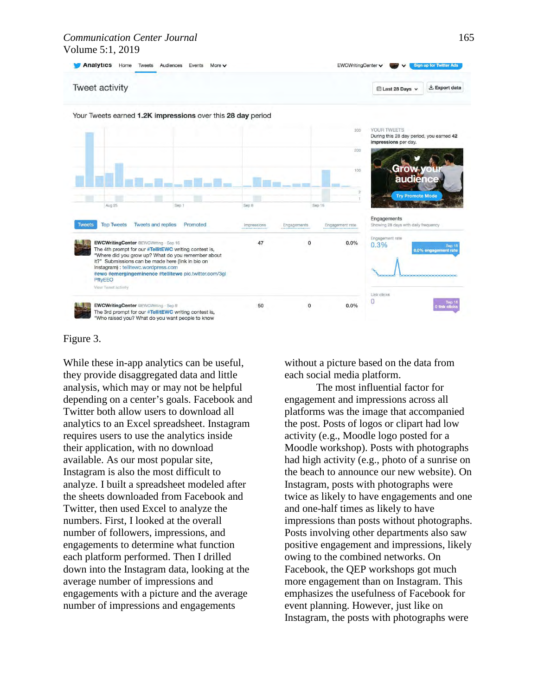#### *Communication Center Journal* 165 Volume 5:1, 2019



### Figure 3.

While these in-app analytics can be useful, they provide disaggregated data and little analysis, which may or may not be helpful depending on a center's goals. Facebook and Twitter both allow users to download all analytics to an Excel spreadsheet. Instagram requires users to use the analytics inside their application, with no download available. As our most popular site, Instagram is also the most difficult to analyze. I built a spreadsheet modeled after the sheets downloaded from Facebook and Twitter, then used Excel to analyze the numbers. First, I looked at the overall number of followers, impressions, and engagements to determine what function each platform performed. Then I drilled down into the Instagram data, looking at the average number of impressions and engagements with a picture and the average number of impressions and engagements

without a picture based on the data from each social media platform.

The most influential factor for engagement and impressions across all platforms was the image that accompanied the post. Posts of logos or clipart had low activity (e.g., Moodle logo posted for a Moodle workshop). Posts with photographs had high activity (e.g., photo of a sunrise on the beach to announce our new website). On Instagram, posts with photographs were twice as likely to have engagements and one and one-half times as likely to have impressions than posts without photographs. Posts involving other departments also saw positive engagement and impressions, likely owing to the combined networks. On Facebook, the QEP workshops got much more engagement than on Instagram. This emphasizes the usefulness of Facebook for event planning. However, just like on Instagram, the posts with photographs were